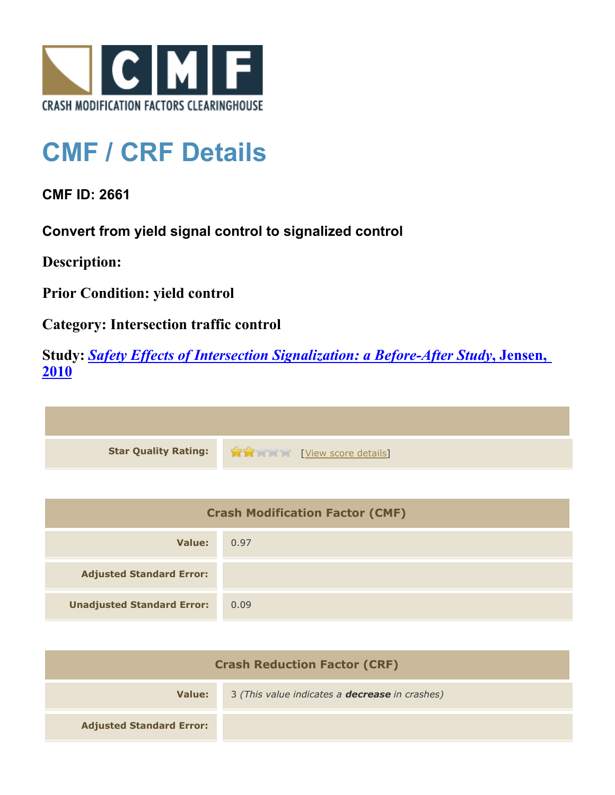

## **CMF / CRF Details**

**CMF ID: 2661**

**Convert from yield signal control to signalized control**

**Description:** 

**Prior Condition: yield control**

**Category: Intersection traffic control**

**Study:** *[Safety Effects of Intersection Signalization: a Before-After Study](http://www.cmfclearinghouse.org/study_detail.cfm?stid=170)***[, Jensen,](http://www.cmfclearinghouse.org/study_detail.cfm?stid=170) [2010](http://www.cmfclearinghouse.org/study_detail.cfm?stid=170)**



| <b>Crash Modification Factor (CMF)</b> |      |
|----------------------------------------|------|
| Value:                                 | 0.97 |
| <b>Adjusted Standard Error:</b>        |      |
| <b>Unadjusted Standard Error:</b>      | 0.09 |

| <b>Crash Reduction Factor (CRF)</b> |                                                       |
|-------------------------------------|-------------------------------------------------------|
| Value:                              | 3 (This value indicates a <b>decrease</b> in crashes) |
| <b>Adjusted Standard Error:</b>     |                                                       |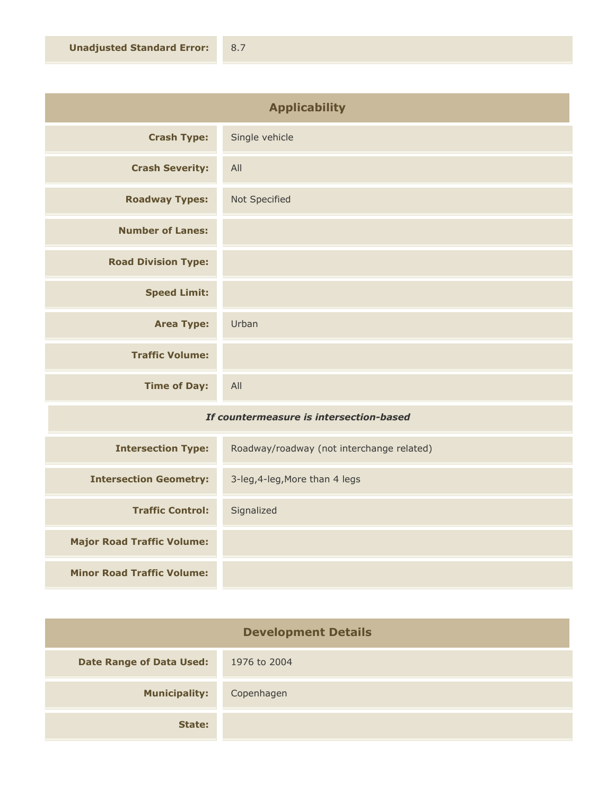| <b>Applicability</b>       |                |
|----------------------------|----------------|
| <b>Crash Type:</b>         | Single vehicle |
| <b>Crash Severity:</b>     | All            |
| <b>Roadway Types:</b>      | Not Specified  |
| <b>Number of Lanes:</b>    |                |
| <b>Road Division Type:</b> |                |
| <b>Speed Limit:</b>        |                |
| <b>Area Type:</b>          | Urban          |
| <b>Traffic Volume:</b>     |                |
| <b>Time of Day:</b>        | All            |

## *If countermeasure is intersection-based*

| <b>Intersection Type:</b>         | Roadway/roadway (not interchange related) |
|-----------------------------------|-------------------------------------------|
| <b>Intersection Geometry:</b>     | 3-leg, 4-leg, More than 4 legs            |
| <b>Traffic Control:</b>           | Signalized                                |
| <b>Major Road Traffic Volume:</b> |                                           |
| <b>Minor Road Traffic Volume:</b> |                                           |

| <b>Development Details</b>      |              |
|---------------------------------|--------------|
| <b>Date Range of Data Used:</b> | 1976 to 2004 |
| <b>Municipality:</b>            | Copenhagen   |
| State:                          |              |